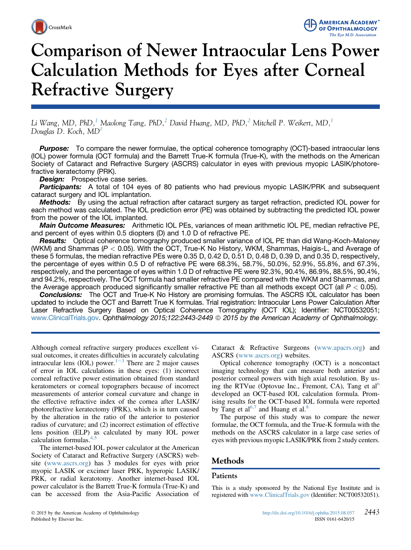



# Comparison of Newer Intraocular Lens Power Calculation Methods for Eyes after Corneal Refractive Surgery

Li Wang, MD, PhD,<sup>1</sup> Maolong Tang, PhD,<sup>[2](#page-6-0)</sup> David Huang, MD, PhD,<sup>2</sup> Mitchell P. Weikert, MD,<sup>[1](#page-6-0)</sup> Douglas D. Koch,  $MD<sup>1</sup>$  $MD<sup>1</sup>$  $MD<sup>1</sup>$ 

**Purpose:** To compare the newer formulae, the optical coherence tomography (OCT)-based intraocular lens (IOL) power formula (OCT formula) and the Barrett True-K formula (True-K), with the methods on the American Society of Cataract and Refractive Surgery (ASCRS) calculator in eyes with previous myopic LASIK/photorefractive keratectomy (PRK).

**Design:** Prospective case series.

Participants: A total of 104 eyes of 80 patients who had previous myopic LASIK/PRK and subsequent cataract surgery and IOL implantation.

**Methods:** By using the actual refraction after cataract surgery as target refraction, predicted IOL power for each method was calculated. The IOL prediction error (PE) was obtained by subtracting the predicted IOL power from the power of the IOL implanted.

Main Outcome Measures: Arithmetic IOL PEs, variances of mean arithmetic IOL PE, median refractive PE, and percent of eyes within 0.5 diopters (D) and 1.0 D of refractive PE.

**Results:** Optical coherence tomography produced smaller variance of IOL PE than did Wang-Koch-Maloney (WKM) and Shammas ( $P < 0.05$ ). With the OCT, True-K No History, WKM, Shammas, Haigis-L, and Average of these 5 formulas, the median refractive PEs were 0.35 D, 0.42 D, 0.51 D, 0.48 D, 0.39 D, and 0.35 D, respectively, the percentage of eyes within 0.5 D of refractive PE were 68.3%, 58.7%, 50.0%, 52.9%, 55.8%, and 67.3%, respectively, and the percentage of eyes within 1.0 D of refractive PE were 92.3%, 90.4%, 86.9%, 88.5%, 90.4%, and 94.2%, respectively. The OCT formula had smaller refractive PE compared with the WKM and Shammas, and the Average approach produced significantly smaller refractive PE than all methods except OCT (all  $P < 0.05$ ).

**Conclusions:** The OCT and True-K No History are promising formulas. The ASCRS IOL calculator has been updated to include the OCT and Barrett True K formulas. Trial registration: Intraocular Lens Power Calculation After Laser Refractive Surgery Based on Optical Coherence Tomography (OCT IOL); Identifier: NCT00532051; [www.ClinicalTrials.gov](http://www.ClinicalTrials.gov). Ophthalmology 2015;122:2443-2449 © 2015 by the American Academy of Ophthalmology.

Although corneal refractive surgery produces excellent visual outcomes, it creates difficulties in accurately calculating intraocular lens (IOL) power.<sup>[1](#page-5-0)-[3](#page-5-0)</sup> There are 2 major causes of error in IOL calculations in these eyes: (1) incorrect corneal refractive power estimation obtained from standard keratometers or corneal topographers because of incorrect measurements of anterior corneal curvature and change in the effective refractive index of the cornea after LASIK/ photorefractive keratectomy (PRK), which is in turn caused by the alteration in the ratio of the anterior to posterior radius of curvature; and (2) incorrect estimation of effective lens position (ELP) as calculated by many IOL power calculation formulas.[4,5](#page-5-0)

The internet-based IOL power calculator at the American Society of Cataract and Refractive Surgery (ASCRS) website ([www.ascrs.org\)](http://www.ascrs.org) has 3 modules for eyes with prior myopic LASIK or excimer laser PRK, hyperopic LASIK/ PRK, or radial keratotomy. Another internet-based IOL power calculator is the Barrett True-K formula (True-K) and can be accessed from the Asia-Pacific Association of Cataract & Refractive Surgeons [\(www.apacrs.org\)](http://www.apacrs.org) and ASCRS [\(www.ascrs.org\)](http://www.ascrs.org) websites.

Optical coherence tomography (OCT) is a noncontact imaging technology that can measure both anterior and posterior corneal powers with high axial resolution. By us-ing the RTVue (Optovue Inc., Fremont, CA), Tang et al<sup>[6](#page-5-0)</sup> developed an OCT-based IOL calculation formula. Promising results for the OCT-based IOL formula were reported by Tang et al<sup>[6,7](#page-5-0)</sup> and Huang et al.<sup>[8](#page-5-0)</sup>

The purpose of this study was to compare the newer formulae, the OCT formula, and the True-K formula with the methods on the ASCRS calculator in a large case series of eyes with previous myopic LASIK/PRK from 2 study centers.

# Methods

### Patients

This is a study sponsored by the National Eye Institute and is registered with [www.ClinicalTrials.gov](http://www.ClinicalTrials.gov) (Identifier: NCT00532051).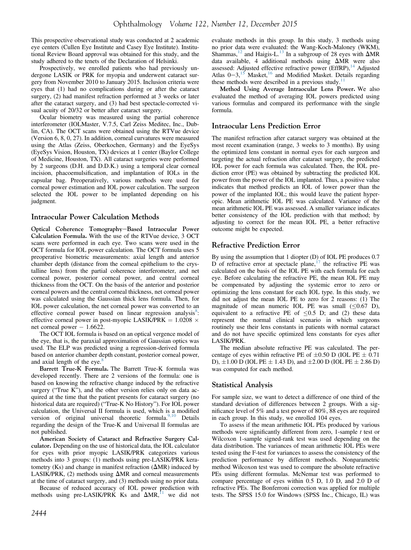This prospective observational study was conducted at 2 academic eye centers (Cullen Eye Institute and Casey Eye Institute). Institutional Review Board approval was obtained for this study, and the study adhered to the tenets of the Declaration of Helsinki.

Prospectively, we enrolled patients who had previously undergone LASIK or PRK for myopia and underwent cataract surgery from November 2010 to January 2015. Inclusion criteria were eyes that (1) had no complications during or after the cataract surgery, (2) had manifest refraction performed at 3 weeks or later after the cataract surgery, and (3) had best spectacle-corrected visual acuity of 20/32 or better after cataract surgery.

Ocular biometry was measured using the partial coherence interferometer (IOLMaster, V.7.5, Carl Zeiss Meditec, Inc., Dublin, CA). The OCT scans were obtained using the RTVue device (Version 6, 8, 0, 27). In addition, corneal curvatures were measured using the Atlas (Zeiss, Oberkochen, Germany) and the EyeSys (EyeSys Vision, Houston, TX) devices at 1 center (Baylor College of Medicine, Houston, TX). All cataract surgeries were performed by 2 surgeons (D.H. and D.D.K.) using a temporal clear corneal incision, phacoemulsification, and implantation of IOLs in the capsular bag. Preoperatively, various methods were used for corneal power estimation and IOL power calculation. The surgeon selected the IOL power to be implanted depending on his judgment.

#### Intraocular Power Calculation Methods

Optical Coherence Tomography-Based Intraocular Power Calculation Formula. With the use of the RTVue device, 3 OCT scans were performed in each eye. Two scans were used in the OCT formula for IOL power calculation. The OCT formula uses 5 preoperative biometric measurements: axial length and anterior chamber depth (distance from the corneal epithelium to the crystalline lens) from the partial coherence interferometer, and net corneal power, posterior corneal power, and central corneal thickness from the OCT. On the basis of the anterior and posterior corneal powers and the central corneal thickness, net corneal power was calculated using the Gaussian thick lens formula. Then, for IOL power calculation, the net corneal power was converted to an effective corneal power based on linear regression analysis<sup>[8](#page-5-0)</sup>: effective corneal power in post-myopic LASIK/PRK =  $1.0208 \times$ net corneal power  $-1.6622$ .

The OCT IOL formula is based on an optical vergence model of the eye, that is, the paraxial approximation of Gaussian optics was used. The ELP was predicted using a regression-derived formula based on anterior chamber depth constant, posterior corneal power, and axial length of the eye. $\frac{8}{3}$  $\frac{8}{3}$  $\frac{8}{3}$ 

Barrett True-K Formula. The Barrett True-K formula was developed recently. There are 2 versions of the formula: one is based on knowing the refractive change induced by the refractive surgery ("True K"), and the other version relies only on data acquired at the time that the patient presents for cataract surgery (no historical data are required) ("True-K No History"). For IOL power calculation, the Universal II formula is used, which is a modified version of original universal theoretic formula.<sup>[9,10](#page-5-0)</sup> Details regarding the design of the True-K and Universal II formulas are not published.

American Society of Cataract and Refractive Surgery Calculator. Depending on the use of historical data, the IOL calculator for eyes with prior myopic LASIK/PRK categorizes various methods into 3 groups: (1) methods using pre-LASIK/PRK keratometry (Ks) and change in manifest refraction ( $\Delta MR$ ) induced by LASIK/PRK, (2) methods using  $\Delta MR$  and corneal measurements at the time of cataract surgery, and (3) methods using no prior data.

Because of reduced accuracy of IOL power prediction with methods using pre-LASIK/PRK Ks and  $\Delta MR$ ,<sup>[11](#page-5-0)</sup> we did not

evaluate methods in this group. In this study, 3 methods using no prior data were evaluated: the Wang-Koch-Maloney (WKM), Shammas,  $^{12}$  $^{12}$  $^{12}$  and Haigis-L.<sup>[13](#page-5-0)</sup> In a subgroup of 28 eyes with  $\Delta MR$ data available, 4 additional methods using  $\Delta MR$  were also assessed: Adjusted effective refractive power (EffRP),<sup>[14](#page-5-0)</sup> Adjusted Atlas  $0-3$ ,<sup>[15](#page-5-0)</sup> Masket,<sup>[16](#page-5-0)</sup> and Modified Masket. Details regarding these methods were described in a previous study.<sup>[11](#page-5-0)</sup>

Method Using Average Intraocular Lens Power. We also evaluated the method of averaging IOL powers predicted using various formulas and compared its performance with the single formula.

#### Intraocular Lens Prediction Error

The manifest refraction after cataract surgery was obtained at the most recent examination (range, 3 weeks to 3 months). By using the optimized lens constant in normal eyes for each surgeon and targeting the actual refraction after cataract surgery, the predicted IOL power for each formula was calculated. Then, the IOL prediction error (PE) was obtained by subtracting the predicted IOL power from the power of the IOL implanted. Thus, a positive value indicates that method predicts an IOL of lower power than the power of the implanted IOL; this would leave the patient hyperopic. Mean arithmetic IOL PE was calculated. Variance of the mean arithmetic IOL PE was assessed. A smaller variance indicates better consistency of the IOL prediction with that method; by adjusting to correct for the mean IOL PE, a better refractive outcome might be expected.

#### Refractive Prediction Error

By using the assumption that 1 diopter (D) of IOL PE produces 0.7 D of refractive error at spectacle plane, $17$  the refractive PE was calculated on the basis of the IOL PE with each formula for each eye. Before calculating the refractive PE, the mean IOL PE may be compensated by adjusting the systemic error to zero or optimizing the lens constant for each IOL type. In this study, we did not adjust the mean IOL PE to zero for 2 reasons: (1) The magnitude of mean numeric IOL PE was small  $( $0.67$  D),$ equivalent to a refractive PE of  $\leq 0.5$  D; and (2) these data represent the normal clinical scenario in which surgeons routinely use their lens constants in patients with normal cataract and do not have specific optimized lens constants for eyes after LASIK/PRK.

The median absolute refractive PE was calculated. The percentage of eyes within refractive PE of  $\pm 0.50$  D (IOL PE  $\pm 0.71$ D),  $\pm 1.00$  D (IOL PE  $\pm 1.43$  D), and  $\pm 2.00$  D (IOL PE  $\pm 2.86$  D) was computed for each method.

### Statistical Analysis

For sample size, we want to detect a difference of one third of the standard deviation of differences between 2 groups. With a significance level of 5% and a test power of 80%, 88 eyes are required in each group. In this study, we enrolled 104 eyes.

To assess if the mean arithmetic IOL PEs produced by various methods were significantly different from zero, 1-sample  $t$  test or Wilcoxon 1-sample signed-rank test was used depending on the data distribution. The variances of mean arithmetic IOL PEs were tested using the F-test for variances to assess the consistency of the prediction performance by different methods. Nonparametric method Wilcoxon test was used to compare the absolute refractive PEs using different formulas. McNemar test was performed to compare percentage of eyes within 0.5 D, 1.0 D, and 2.0 D of refractive PEs. The Bonferroni correction was applied for multiple tests. The SPSS 15.0 for Windows (SPSS Inc., Chicago, IL) was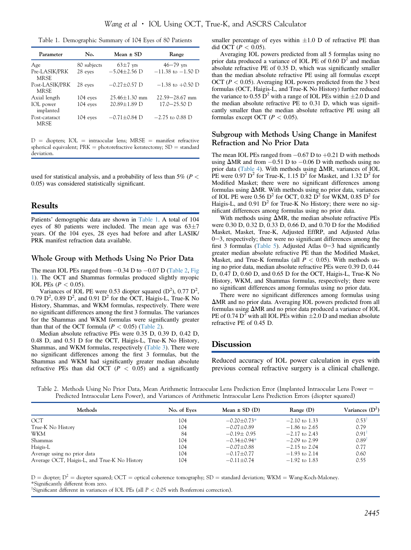|  |  |  |  | Table 1. Demographic Summary of 104 Eyes of 80 Patients |  |  |  |  |  |  |
|--|--|--|--|---------------------------------------------------------|--|--|--|--|--|--|
|--|--|--|--|---------------------------------------------------------|--|--|--|--|--|--|

| Parameter                     | No.         | Mean $\pm$ SD       | Range                 |
|-------------------------------|-------------|---------------------|-----------------------|
| Age                           | 80 subjects | $63\pm7$ yrs        | $46 - 79$ yrs         |
| Pre-LASIK/PRK<br><b>MRSE</b>  | 28 eyes     | $-5.04 \pm 2.56$ D  | $-11.38$ to $-1.50$ D |
| Post-LASIK/PRK<br><b>MRSE</b> | 28 eyes     | $-0.27 \pm 0.57$ D  | $-1.38$ to $+0.50$ D  |
| Axial length                  | $104$ eyes  | $25.46 \pm 1.30$ mm | $22.59 - 28.67$ mm    |
| IOL power<br>implanted        | 104 eyes    | 20.89±1.89 D        | $17.0 - 25.50$ D      |
| Post-cataract<br><b>MRSE</b>  | 104 eyes    | $-0.71 \pm 0.84$ D  | $-2.75$ to 0.88 D     |

 $D =$  diopters; IOL = intraocular lens; MRSE = manifest refractive spherical equivalent;  $PRK = photorefractive$  keratectomy;  $SD = standard$ deviation.

used for statistical analysis, and a probability of less than 5% ( $P <$ 0.05) was considered statistically significant.

## Results

Patients' demographic data are shown in Table 1. A total of 104 eyes of 80 patients were included. The mean age was  $63\pm7$ years. Of the 104 eyes, 28 eyes had before and after LASIK/ PRK manifest refraction data available.

#### Whole Group with Methods Using No Prior Data

The mean IOL PEs ranged from  $-0.34$  D to  $-0.07$  D (Table 2, [Fig](#page-3-0) [1\)](#page-3-0). The OCT and Shammas formulas produced slightly myopic IOL PEs ( $P < 0.05$ ).

Variances of IOL PE were 0.53 diopter squared  $(D^2)$ , 0.77  $D^2$ ,  $0.79$  D<sup>2</sup>,  $0.89$  D<sup>2</sup>, and  $0.91$  D<sup>2</sup> for the OCT, Haigis-L, True-K No History, Shammas, and WKM formulas, respectively. There were no significant differences among the first 3 formulas. The variances for the Shammas and WKM formulas were significantly greater than that of the OCT formula ( $P < 0.05$ ) (Table 2).

Median absolute refractive PEs were 0.35 D, 0.39 D, 0.42 D, 0.48 D, and 0.51 D for the OCT, Haigis-L, True-K No History, Shammas, and WKM formulas, respectively ([Table 3\)](#page-3-0). There were no significant differences among the first 3 formulas, but the Shammas and WKM had significantly greater median absolute refractive PEs than did OCT ( $P < 0.05$ ) and a significantly

smaller percentage of eyes within  $\pm 1.0$  D of refractive PE than did OCT ( $P < 0.05$ ).

Averaging IOL powers predicted from all 5 formulas using no prior data produced a variance of IOL PE of  $0.60 \text{ D}^2$  and median absolute refractive PE of 0.35 D, which was significantly smaller than the median absolute refractive PE using all formulas except OCT ( $P < 0.05$ ). Averaging IOL powers predicted from the 3 best formulas (OCT, Haigis-L, and True-K No History) further reduced the variance to 0.55  $D^2$  with a range of IOL PEs within  $\pm 2.0$  D and the median absolute refractive PE to 0.31 D, which was significantly smaller than the median absolute refractive PE using all formulas except OCT ( $P < 0.05$ ).

#### Subgroup with Methods Using Change in Manifest Refraction and No Prior Data

The mean IOL PEs ranged from  $-0.67$  D to  $+0.21$  D with methods using  $\Delta MR$  and from  $-0.51$  D to  $-0.06$  D with methods using no prior data [\(Table 4\)](#page-4-0). With methods using  $\Delta MR$ , variances of IOL PE were 0.97  $D^2$  for True-K, 1.15  $D^2$  for Masket, and 1.32  $D^2$  for Modified Masket; there were no significant differences among formulas using  $\Delta MR$ . With methods using no prior data, variances of IOL PE were 0.56  $\overline{D}^2$  for OCT, 0.82  $\overline{D}^2$  for WKM, 0.85  $\overline{D}^2$  for Haigis-L, and  $0.91 \text{ D}^2$  for True-K No History; there were no significant differences among formulas using no prior data.

With methods using  $\Delta MR$ , the median absolute refractive PEs were 0.30 D, 0.32 D, 0.33 D, 0.66 D, and 0.70 D for the Modified Masket, Masket, True-K, Adjusted EffRP, and Adjusted Atlas  $0-3$ , respectively; there were no significant differences among the first 3 formulas [\(Table 5\)](#page-4-0). Adjusted Atlas  $0-3$  had significantly greater median absolute refractive PE than the Modified Masket, Masket, and True-K formulas (all  $P < 0.05$ ). With methods using no prior data, median absolute refractive PEs were 0.39 D, 0.44 D, 0.47 D, 0.60 D, and 0.65 D for the OCT, Haigis-L, True-K No History, WKM, and Shammas formulas, respectively; there were no significant differences among formulas using no prior data.

There were no significant differences among formulas using  $\Delta$ MR and no prior data. Averaging IOL powers predicted from all formulas using  $\Delta MR$  and no prior data produced a variance of IOL PE of 0.74  $D^2$  with all IOL PEs within  $\pm 2.0$  D and median absolute refractive PE of 0.45 D.

#### Discussion

Reduced accuracy of IOL power calculation in eyes with previous corneal refractive surgery is a clinical challenge.

Table 2. Methods Using No Prior Data, Mean Arithmetic Intraocular Lens Prediction Error (Implanted Intraocular Lens Power e Predicted Intraocular Lens Power), and Variances of Arithmetic Intraocular Lens Prediction Errors (diopter squared)

| Methods                                      | No. of Eyes | Mean $\pm$ SD (D) | Range(D)        | Variances $(D^2)$   |
|----------------------------------------------|-------------|-------------------|-----------------|---------------------|
| OCT                                          | 104         | $-0.20 \pm 0.73*$ | $-2.10$ to 1.33 | 0.53                |
| True-K No History                            | 104         | $-0.07 + 0.89$    | $-1.86$ to 2.65 | 0.79                |
| WKM                                          | 84          | $-0.19 + 0.95$    | $-2.17$ to 2.43 | $0.91$ <sup>1</sup> |
| Shammas                                      | 104         | $-0.34 \pm 0.94*$ | $-2.09$ to 2.99 | $0.89^{\dagger}$    |
| Haigis-L                                     | 104         | $-0.07 \pm 0.88$  | $-2.15$ to 2.04 | 0.77                |
| Average using no prior data                  | 104         | $-0.17 \pm 0.77$  | $-1.93$ to 2.14 | 0.60                |
| Average OCT, Haigis-L, and True-K No History | 104         | $-0.11 \pm 0.74$  | $-1.92$ to 1.83 | 0.55                |

 $D =$  diopter;  $D^2 =$  diopter squared; OCT = optical coherence tomography; SD = standard deviation; WKM = Wang-Koch-Maloney. \*Significantly different from zero.

<sup>†</sup>Significant different in variances of IOL PEs (all  $P < 0.05$  with Bonferroni correction).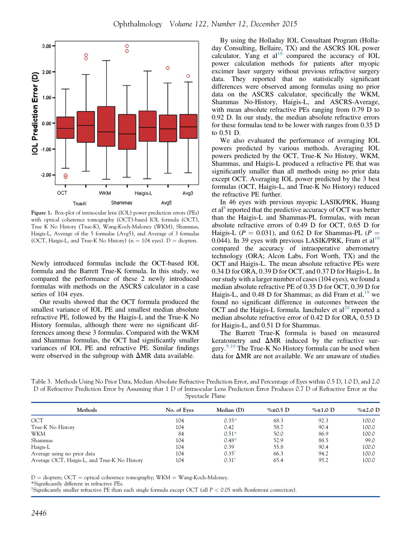<span id="page-3-0"></span>

Figure 1. Box-plot of intraocular lens (IOL) power prediction errors (PEs) with optical coherence tomography (OCT)-based IOL formula (OCT), True K No History (True-K), Wang-Koch-Maloney (WKM), Shammas, Haigis-L, Average of the 5 formulas (Avg5), and Average of 3 formulas (OCT, Haigis-L, and True-K No History) ( $n = 104$  eyes). D = diopters.

Newly introduced formulas include the OCT-based IOL formula and the Barrett True-K formula. In this study, we compared the performance of these 2 newly introduced formulas with methods on the ASCRS calculator in a case series of 104 eyes.

Our results showed that the OCT formula produced the smallest variance of IOL PE and smallest median absolute refractive PE, followed by the Haigis-L and the True-K No History formulas, although there were no significant differences among these 3 formulas. Compared with the WKM and Shammas formulas, the OCT had significantly smaller variances of IOL PE and refractive PE. Similar findings were observed in the subgroup with  $\Delta MR$  data available.

By using the Holladay IOL Consultant Program (Holladay Consulting, Bellaire, TX) and the ASCRS IOL power calculator, Yang et al<sup>[18](#page-5-0)</sup> compared the accuracy of IOL power calculation methods for patients after myopic excimer laser surgery without previous refractive surgery data. They reported that no statistically significant differences were observed among formulas using no prior data on the ASCRS calculator, specifically the WKM, Shammas No-History, Haigis-L, and ASCRS-Average, with mean absolute refractive PEs ranging from 0.79 D to 0.92 D. In our study, the median absolute refractive errors for these formulas tend to be lower with ranges from 0.35 D to 0.51 D.

We also evaluated the performance of averaging IOL powers predicted by various methods. Averaging IOL powers predicted by the OCT, True-K No History, WKM, Shammas, and Haigis-L produced a refractive PE that was significantly smaller than all methods using no prior data except OCT. Averaging IOL power predicted by the 3 best formulas (OCT, Haigis-L, and True-K No History) reduced the refractive PE further.

In 46 eyes with previous myopic LASIK/PRK, Huang et al<sup>[8](#page-5-0)</sup> reported that the predictive accuracy of OCT was better than the Haigis-L and Shammas-PL formulas, with mean absolute refractive errors of 0.49 D for OCT, 0.65 D for Haigis-L ( $P = 0.031$ ), and 0.62 D for Shammas-PL ( $P =$ Haigis-L ( $P = 0.031$ ), and 0.62 D for Shammas-PL ( $P = 0.044$ ). In 39 eyes with previous LASIK/PRK, Fram et al<sup>[19](#page-5-0)</sup> compared the accuracy of intraoperative aberrometry technology (ORA; Alcon Labs, Fort Worth, TX) and the OCT and Haigis-L. The mean absolute refractive PEs were 0.34 D for ORA, 0.39 D for OCT, and 0.37 D for Haigis-L. In our study with a larger number of cases (104 eyes), we found a median absolute refractive PE of 0.35 D for OCT, 0.39 D for Haigis-L, and 0.48 D for Shammas; as did Fram et al,  $19$  we found no significant difference in outcomes between the OCT and the Haigis-L formula. Ianchulev et  $al^{20}$  reported a median absolute refractive error of 0.42 D for ORA, 0.53 D for Haigis-L, and 0.51 D for Shammas.

The Barrett True-K formula is based on measured keratometry and  $\Delta MR$  induced by the refractive surgery. $9,10$  The True-K No History formula can be used when data for  $\Delta MR$  are not available. We are unaware of studies

| Spectacle Plane | Table 3. Methods Using No Prior Data, Median Absolute Refractive Prediction Error, and Percentage of Eyes within 0.5 D, 1.0 D, and 2.0 |
|-----------------|----------------------------------------------------------------------------------------------------------------------------------------|
|                 | D of Refractive Prediction Error by Assuming that 1 D of Intraocular Lens Prediction Error Produces 0.7 D of Refractive Error at the   |
|                 |                                                                                                                                        |

| Methods                                      | No. of Eyes | Median (D)          | % $\pm 0.5$ D | % $\pm 1.0$ D | $\% \pm 2.0$ D |
|----------------------------------------------|-------------|---------------------|---------------|---------------|----------------|
| OCT                                          | 104         | $0.35*$             | 68.3          | 92.3          | 100.0          |
| True-K No History                            | 104         | 0.42                | 58.7          | 90.4          | 100.0          |
| WKM                                          | 84          | $0.51*$             | 50.0          | 86.9          | 100.0          |
| Shammas                                      | 104         | $0.48*$             | 52.9          | 88.5          | 99.0           |
| Haigis-L                                     | 104         | 0.39                | 55.8          | 90.4          | 100.0          |
| Average using no prior data                  | 104         | $0.35^{\dagger}$    | 66.3          | 94.2          | 100.0          |
| Average OCT, Haigis-L, and True-K No History | 104         | $0.31$ <sup>1</sup> | 65.4          | 95.2          | 100.0          |

 $D =$  diopters; OCT = optical coherence tomography; WKM = Wang-Koch-Maloney.

\*Significantly different in refractive PEs.

<sup>†</sup>Significantly smaller refractive PE than each single formula except OCT (all P < 0.05 with Bonferroni correction).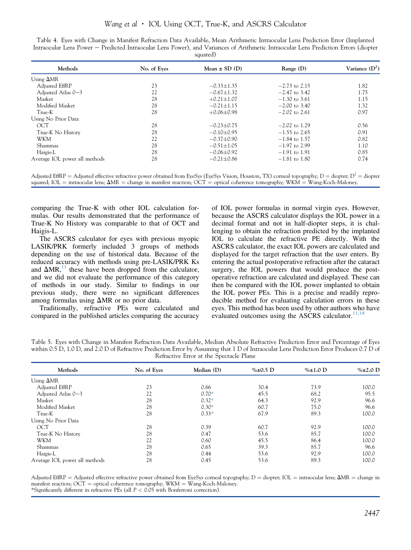| $v$ quacca                    |             |                   |                 |                  |  |  |  |
|-------------------------------|-------------|-------------------|-----------------|------------------|--|--|--|
| Methods                       | No. of Eyes | Mean $\pm$ SD (D) | Range(D)        | Variance $(D^2)$ |  |  |  |
| Using $\Delta MR$             |             |                   |                 |                  |  |  |  |
| Adjusted EffRP                | 23          | $-0.33 \pm 1.35$  | $-2.73$ to 2.15 | 1.82             |  |  |  |
| Adjusted Atlas 0-3            | 22          | $-0.67 \pm 1.32$  | $-2.47$ to 3.42 | 1.75             |  |  |  |
| Masket                        | 28          | $+0.21 \pm 1.07$  | $-1.30$ to 3.61 | 1.15             |  |  |  |
| Modified Masket               | 28          | $-0.21 \pm 1.15$  | $-2.00$ to 3.40 | 1.32             |  |  |  |
| True-K                        | 28          | $+0.06\pm0.98$    | $-2.02$ to 2.61 | 0.97             |  |  |  |
| Using No Prior Data           |             |                   |                 |                  |  |  |  |
| OCT                           | 28          | $-0.23 \pm 0.75$  | $-2.02$ to 1.29 | 0.56             |  |  |  |
| True-K No History             | 28          | $-0.10 \pm 0.95$  | $-1.55$ to 2.65 | 0.91             |  |  |  |
| WKM                           | 22          | $-0.37 \pm 0.90$  | $-1.84$ to 1.57 | 0.82             |  |  |  |
| Shammas                       | 28          | $-0.51 \pm 1.05$  | $-1.97$ to 2.99 | 1.10             |  |  |  |
| Haigis-L                      | 28          | $-0.06 \pm 0.92$  | $-1.91$ to 1.91 | 0.85             |  |  |  |
| Average IOL power all methods | 28          | $-0.21 \pm 0.86$  | $-1.81$ to 1.80 | 0.74             |  |  |  |

<span id="page-4-0"></span>Table 4. Eyes with Change in Manifest Refraction Data Available, Mean Arithmetic Intraocular Lens Prediction Error (Implanted Intraocular Lens Power – Predicted Intraocular Lens Power), and Variances of Arithmetic Intraocular Lens Prediction Errors (diopter  $\epsilon$ quared)

Adjusted EffRP = Adjusted effective refractive power obtained from EyeSys (EyeSys Vision, Houston, TX) corneal topography; D = diopter;  $D^2$  = diopter squared; IOL = intraocular lens;  $\Delta MR$  = change in manifest reaction; OCT = optical coherence tomography; WKM = Wang-Koch-Maloney.

comparing the True-K with other IOL calculation formulas. Our results demonstrated that the performance of True-K No History was comparable to that of OCT and Haigis-L.

The ASCRS calculator for eyes with previous myopic LASIK/PRK formerly included 3 groups of methods depending on the use of historical data. Because of the reduced accuracy with methods using pre-LASIK/PRK Ks and  $\Delta MR$ ,<sup>[11](#page-5-0)</sup> these have been dropped from the calculator, and we did not evaluate the performance of this category of methods in our study. Similar to findings in our previous study, there were no significant differences among formulas using  $\Delta MR$  or no prior data.

Traditionally, refractive PEs were calculated and compared in the published articles comparing the accuracy

of IOL power formulas in normal virgin eyes. However, because the ASCRS calculator displays the IOL power in a decimal format and not in half-diopter steps, it is challenging to obtain the refraction predicted by the implanted IOL to calculate the refractive PE directly. With the ASCRS calculator, the exact IOL powers are calculated and displayed for the target refraction that the user enters. By entering the actual postoperative refraction after the cataract surgery, the IOL powers that would produce the postoperative refraction are calculated and displayed. These can then be compared with the IOL power implanted to obtain the IOL power PEs. This is a precise and readily reproducible method for evaluating calculation errors in these eyes. This method has been used by other authors who have evaluated outcomes using the ASCRS calculator. $11,18$ 

Table 5. Eyes with Change in Manifest Refraction Data Available, Median Absolute Refractive Prediction Error and Percentage of Eyes within 0.5 D, 1.0 D, and 2.0 D of Refractive Prediction Error by Assuming that 1 D of Intraocular Lens Prediction Error Produces 0.7 D of Refractive Error at the Spectacle Plane

| Methods                       | No. of Eyes | Median (D) | % $\pm 0.5$ D | $\% \pm 1.0$ D | $\% \pm 2.0$ D |
|-------------------------------|-------------|------------|---------------|----------------|----------------|
| Using $\Delta MR$             |             |            |               |                |                |
| Adjusted EffRP                | 23          | 0.66       | 30.4          | 73.9           | 100.0          |
| Adjusted Atlas 0-3            | 22          | $0.70*$    | 45.5          | 68.2           | 95.5           |
| Masket                        | 28          | $0.32*$    | 64.3          | 92.9           | 96.6           |
| Modified Masket               | 28          | $0.30*$    | 60.7          | 75.0           | 96.6           |
| True-K                        | 28          | $0.33*$    | 67.9          | 89.3           | 100.0          |
| Using No Prior Data           |             |            |               |                |                |
| OCT                           | 28          | 0.39       | 60.7          | 92.9           | 100.0          |
| True-K No History             | 28          | 0.47       | 53.6          | 85.7           | 100.0          |
| <b>WKM</b>                    | 22          | 0.60       | 45.5          | 86.4           | 100.0          |
| Shammas                       | 28          | 0.65       | 39.3          | 85.7           | 96.6           |
| Haigis-L                      | 28          | 0.44       | 53.6          | 92.9           | 100.0          |
| Average IOL power all methods | 28          | 0.45       | 53.6          | 89.3           | 100.0          |

Adjusted EffRP = Adjusted effective refractive power obtained from EyeSys corneal topography; D = diopter; IOL = intraocular lens;  $\Delta MR$  = change in manifest reaction;  $OCT =$  optical coherence tomography;  $WKM = W$ ang-Koch-Maloney. \*Significantly different in refractive PEs (all P < 0.05 with Bonferroni correction).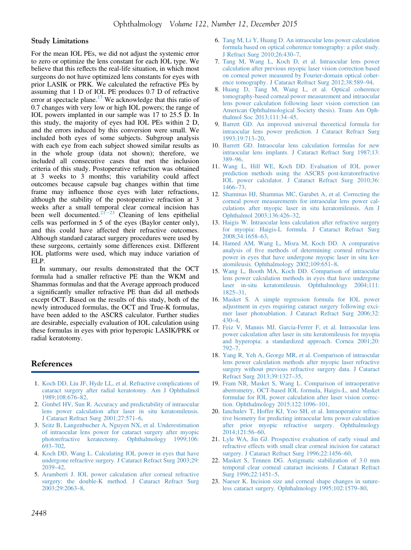#### <span id="page-5-0"></span>Study Limitations

For the mean IOL PEs, we did not adjust the systemic error to zero or optimize the lens constant for each IOL type. We believe that this reflects the real-life situation, in which most surgeons do not have optimized lens constants for eyes with prior LASIK or PRK. We calculated the refractive PEs by assuming that 1 D of IOL PE produces 0.7 D of refractive error at spectacle plane.<sup>17</sup> We acknowledge that this ratio of 0.7 changes with very low or high IOL powers; the range of IOL powers implanted in our sample was 17 to 25.5 D. In this study, the majority of eyes had IOL PEs within 2 D, and the errors induced by this conversion were small. We included both eyes of some subjects. Subgroup analysis with each eye from each subject showed similar results as in the whole group (data not shown); therefore, we included all consecutive cases that met the inclusion criteria of this study. Postoperative refraction was obtained at 3 weeks to 3 months; this variability could affect outcomes because capsule bag changes within that time frame may influence those eyes with later refractions, although the stability of the postoperative refraction at 3 weeks after a small temporal clear corneal incision has been well documented.<sup>21–23</sup> Cleaning of lens epithelial cells was performed in 5 of the eyes (Baylor center only), and this could have affected their refractive outcomes. Although standard cataract surgery procedures were used by these surgeons, certainly some differences exist. Different IOL platforms were used, which may induce variation of ELP.

In summary, our results demonstrated that the OCT formula had a smaller refractive PE than the WKM and Shammas formulas and that the Average approach produced a significantly smaller refractive PE than did all methods except OCT. Based on the results of this study, both of the newly introduced formulas, the OCT and True-K formulas, have been added to the ASCRS calculator. Further studies are desirable, especially evaluation of IOL calculation using these formulas in eyes with prior hyperopic LASIK/PRK or radial keratotomy.

## References

- 1. [Koch DD, Liu JF, Hyde LL, et al. Refractive complications of](http://refhub.elsevier.com/S0161-6420(15)00893-3/sref1) [cataract surgery after radial keratotomy. Am J Ophthalmol](http://refhub.elsevier.com/S0161-6420(15)00893-3/sref1) [1989;108:676](http://refhub.elsevier.com/S0161-6420(15)00893-3/sref1)–82.
- 2. [Gimbel HV, Sun R. Accuracy and predictability of intraocular](http://refhub.elsevier.com/S0161-6420(15)00893-3/sref2) [lens power calculation after laser in situ keratomileusis.](http://refhub.elsevier.com/S0161-6420(15)00893-3/sref2) [J Cataract Refract Surg 2001;27:571](http://refhub.elsevier.com/S0161-6420(15)00893-3/sref2)–6.
- 3. [Seitz B, Langenbucher A, Nguyen NX, et al. Underestimation](http://refhub.elsevier.com/S0161-6420(15)00893-3/sref3) [of intraocular lens power for cataract surgery after myopic](http://refhub.elsevier.com/S0161-6420(15)00893-3/sref3) [photorefractive keratectomy. Ophthalmology 1999;106:](http://refhub.elsevier.com/S0161-6420(15)00893-3/sref3) [693](http://refhub.elsevier.com/S0161-6420(15)00893-3/sref3)–702.
- 4. [Koch DD, Wang L. Calculating IOL power in eyes that have](http://refhub.elsevier.com/S0161-6420(15)00893-3/sref4) [undergone refractive surgery. J Cataract Refract Surg 2003;29:](http://refhub.elsevier.com/S0161-6420(15)00893-3/sref4) [2039](http://refhub.elsevier.com/S0161-6420(15)00893-3/sref4)–42.
- 5. [Aramberri J. IOL power calculation after corneal refractive](http://refhub.elsevier.com/S0161-6420(15)00893-3/sref5) [surgery: the double-K method. J Cataract Refract Surg](http://refhub.elsevier.com/S0161-6420(15)00893-3/sref5) [2003;29:2063](http://refhub.elsevier.com/S0161-6420(15)00893-3/sref5)–8.
- 6. [Tang M, Li Y, Huang D. An intraocular lens power calculation](http://refhub.elsevier.com/S0161-6420(15)00893-3/sref6) [formula based on optical coherence tomography: a pilot study.](http://refhub.elsevier.com/S0161-6420(15)00893-3/sref6) [J Refract Surg 2010;26:430](http://refhub.elsevier.com/S0161-6420(15)00893-3/sref6)–7.
- 7. [Tang M, Wang L, Koch D, et al. Intraocular lens power](http://refhub.elsevier.com/S0161-6420(15)00893-3/sref7) [calculation after previous myopic laser vision correction based](http://refhub.elsevier.com/S0161-6420(15)00893-3/sref7) [on corneal power measured by Fourier-domain optical coher](http://refhub.elsevier.com/S0161-6420(15)00893-3/sref7)[ence tomography. J Cataract Refract Surg 2012;38:589](http://refhub.elsevier.com/S0161-6420(15)00893-3/sref7)–94.
- 8. [Huang D, Tang M, Wang L, et al. Optical coherence](http://refhub.elsevier.com/S0161-6420(15)00893-3/sref8) [tomography-based corneal power measurement and intraocular](http://refhub.elsevier.com/S0161-6420(15)00893-3/sref8) [lens power calculation following laser vision correction \(an](http://refhub.elsevier.com/S0161-6420(15)00893-3/sref8) [American Ophthalmological Society thesis\). Trans Am Oph](http://refhub.elsevier.com/S0161-6420(15)00893-3/sref8)[thalmol Soc 2013;111:34](http://refhub.elsevier.com/S0161-6420(15)00893-3/sref8)–45.
- 9. [Barrett GD. An improved universal theoretical formula for](http://refhub.elsevier.com/S0161-6420(15)00893-3/sref9) [intraocular lens power prediction. J Cataract Refract Surg](http://refhub.elsevier.com/S0161-6420(15)00893-3/sref9) [1993;19:713](http://refhub.elsevier.com/S0161-6420(15)00893-3/sref9)–20.
- 10. [Barrett GD. Intraocular lens calculation formulas for new](http://refhub.elsevier.com/S0161-6420(15)00893-3/sref10) [intraocular lens implants. J Cataract Refract Surg 1987;13:](http://refhub.elsevier.com/S0161-6420(15)00893-3/sref10) [389](http://refhub.elsevier.com/S0161-6420(15)00893-3/sref10)–96.
- 11. [Wang L, Hill WE, Koch DD. Evaluation of IOL power](http://refhub.elsevier.com/S0161-6420(15)00893-3/sref11) [prediction methods using the ASCRS post-keratorefractive](http://refhub.elsevier.com/S0161-6420(15)00893-3/sref11) [IOL power calculator. J Cataract Refract Surg 2010;36:](http://refhub.elsevier.com/S0161-6420(15)00893-3/sref11) [1466](http://refhub.elsevier.com/S0161-6420(15)00893-3/sref11)–73.
- 12. [Shammas HJ, Shammas MC, Garabet A, et al. Correcting the](http://refhub.elsevier.com/S0161-6420(15)00893-3/sref12) [corneal power measurements for intraocular lens power cal](http://refhub.elsevier.com/S0161-6420(15)00893-3/sref12)[culations after myopic laser in situ keratomileusis. Am J](http://refhub.elsevier.com/S0161-6420(15)00893-3/sref12) [Ophthalmol 2003;136:426](http://refhub.elsevier.com/S0161-6420(15)00893-3/sref12)–32.
- 13. [Haigis W. Intraocular lens calculation after refractive surgery](http://refhub.elsevier.com/S0161-6420(15)00893-3/sref13) [for myopia: Haigis-L formula. J Cataract Refract Surg](http://refhub.elsevier.com/S0161-6420(15)00893-3/sref13) [2008;34:1658](http://refhub.elsevier.com/S0161-6420(15)00893-3/sref13)–63.
- 14. [Hamed AM, Wang L, Misra M, Koch DD. A comparative](http://refhub.elsevier.com/S0161-6420(15)00893-3/sref14) analysis of fi[ve methods of determining corneal refractive](http://refhub.elsevier.com/S0161-6420(15)00893-3/sref14) [power in eyes that have undergone myopic laser in situ ker](http://refhub.elsevier.com/S0161-6420(15)00893-3/sref14)[atomileusis. Ophthalmology 2002;109:651](http://refhub.elsevier.com/S0161-6420(15)00893-3/sref14)–8.
- 15. [Wang L, Booth MA, Koch DD. Comparison of intraocular](http://refhub.elsevier.com/S0161-6420(15)00893-3/sref15) [lens power calculation methods in eyes that have undergone](http://refhub.elsevier.com/S0161-6420(15)00893-3/sref15) [laser in-situ keratomileusis. Ophthalmology 2004;111:](http://refhub.elsevier.com/S0161-6420(15)00893-3/sref15) [1825](http://refhub.elsevier.com/S0161-6420(15)00893-3/sref15)–31.
- 16. [Masket S. A simple regression formula for IOL power](http://refhub.elsevier.com/S0161-6420(15)00893-3/sref16) [adjustment in eyes requiring cataract surgery following exci](http://refhub.elsevier.com/S0161-6420(15)00893-3/sref16)[mer laser photoablation. J Cataract Refract Surg 2006;32:](http://refhub.elsevier.com/S0161-6420(15)00893-3/sref16) [430](http://refhub.elsevier.com/S0161-6420(15)00893-3/sref16)–4.
- 17. [Feiz V, Mannis MJ, Garcia-Ferrer F, et al. Intraocular lens](http://refhub.elsevier.com/S0161-6420(15)00893-3/sref17) [power calculation after laser in situ keratomileusis for myopia](http://refhub.elsevier.com/S0161-6420(15)00893-3/sref17) [and hyperopia: a standardized approach. Cornea 2001;20:](http://refhub.elsevier.com/S0161-6420(15)00893-3/sref17) [792](http://refhub.elsevier.com/S0161-6420(15)00893-3/sref17)–7.
- 18. [Yang R, Yeh A, George MR, et al. Comparison of intraocular](http://refhub.elsevier.com/S0161-6420(15)00893-3/sref18) [lens power calculation methods after myopic laser refractive](http://refhub.elsevier.com/S0161-6420(15)00893-3/sref18) [surgery without previous refractive surgery data. J Cataract](http://refhub.elsevier.com/S0161-6420(15)00893-3/sref18) [Refract Surg 2013;39:1327](http://refhub.elsevier.com/S0161-6420(15)00893-3/sref18)–35.
- 19. [Fram NR, Masket S, Wang L. Comparison of intraoperative](http://refhub.elsevier.com/S0161-6420(15)00893-3/sref19) [aberrometry, OCT-based IOL formula, Haigis-L, and Masket](http://refhub.elsevier.com/S0161-6420(15)00893-3/sref19) [formulae for IOL power calculation after laser vision correc](http://refhub.elsevier.com/S0161-6420(15)00893-3/sref19)[tion. Ophthalmology 2015;122:1096](http://refhub.elsevier.com/S0161-6420(15)00893-3/sref19)–101.
- 20. [Ianchulev T, Hoffer KJ, Yoo SH, et al. Intraoperative refrac](http://refhub.elsevier.com/S0161-6420(15)00893-3/sref20)[tive biometry for predicting intraocular lens power calculation](http://refhub.elsevier.com/S0161-6420(15)00893-3/sref20) [after prior myopic refractive surgery. Ophthalmology](http://refhub.elsevier.com/S0161-6420(15)00893-3/sref20) [2014;121:56](http://refhub.elsevier.com/S0161-6420(15)00893-3/sref20)–60.
- 21. [Lyle WA, Jin GJ. Prospective evaluation of early visual and](http://refhub.elsevier.com/S0161-6420(15)00893-3/sref21) [refractive effects with small clear corneal incision for cataract](http://refhub.elsevier.com/S0161-6420(15)00893-3/sref21) [surgery. J Cataract Refract Surg 1996;22:1456](http://refhub.elsevier.com/S0161-6420(15)00893-3/sref21)–60.
- 22. [Masket S, Tennen DG. Astigmatic stabilization of 3.0 mm](http://refhub.elsevier.com/S0161-6420(15)00893-3/sref22) [temporal clear corneal cataract incisions. J Cataract Refract](http://refhub.elsevier.com/S0161-6420(15)00893-3/sref22) [Surg 1996;22:1451](http://refhub.elsevier.com/S0161-6420(15)00893-3/sref22)–5.
- 23. [Naeser K. Incision size and corneal shape changes in suture](http://refhub.elsevier.com/S0161-6420(15)00893-3/sref23)[less cataract surgery. Ophthalmology 1995;102:1579](http://refhub.elsevier.com/S0161-6420(15)00893-3/sref23)–80.